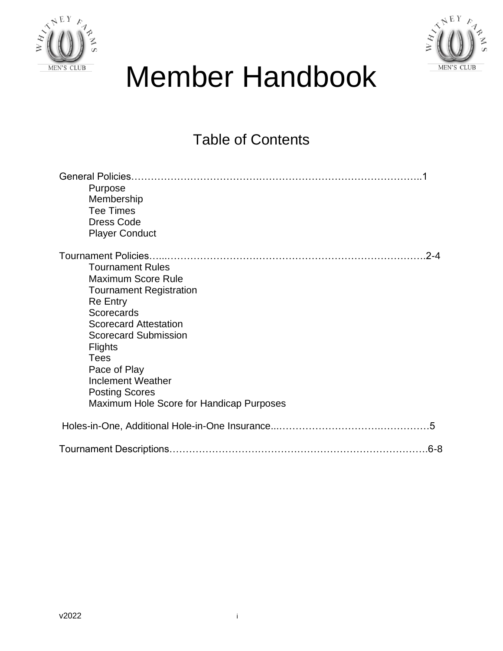



# Member Handbook

### Table of Contents

| Purpose<br>Membership<br><b>Tee Times</b><br><b>Dress Code</b><br><b>Player Conduct</b>                                                                                                                                                                                                                                                                                                    |
|--------------------------------------------------------------------------------------------------------------------------------------------------------------------------------------------------------------------------------------------------------------------------------------------------------------------------------------------------------------------------------------------|
| <b>Tournament Policies.</b><br>$-2 - 4$<br><b>Tournament Rules</b><br><b>Maximum Score Rule</b><br><b>Tournament Registration</b><br><b>Re Entry</b><br><b>Scorecards</b><br><b>Scorecard Attestation</b><br><b>Scorecard Submission</b><br><b>Flights</b><br><b>Tees</b><br>Pace of Play<br><b>Inclement Weather</b><br><b>Posting Scores</b><br>Maximum Hole Score for Handicap Purposes |
| $\overline{5}$                                                                                                                                                                                                                                                                                                                                                                             |
|                                                                                                                                                                                                                                                                                                                                                                                            |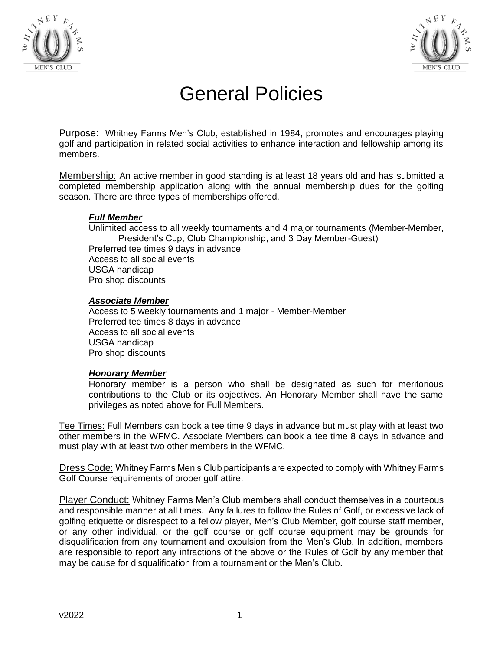



## General Policies

Purpose: Whitney Farms Men's Club, established in 1984, promotes and encourages playing golf and participation in related social activities to enhance interaction and fellowship among its members.

Membership: An active member in good standing is at least 18 years old and has submitted a completed membership application along with the annual membership dues for the golfing season. There are three types of memberships offered.

#### *Full Member*

Unlimited access to all weekly tournaments and 4 major tournaments (Member-Member, President's Cup, Club Championship, and 3 Day Member-Guest) Preferred tee times 9 days in advance Access to all social events USGA handicap Pro shop discounts

#### *Associate Member*

Access to 5 weekly tournaments and 1 major - Member-Member Preferred tee times 8 days in advance Access to all social events USGA handicap Pro shop discounts

#### *Honorary Member*

Honorary member is a person who shall be designated as such for meritorious contributions to the Club or its objectives. An Honorary Member shall have the same privileges as noted above for Full Members.

Tee Times: Full Members can book a tee time 9 days in advance but must play with at least two other members in the WFMC. Associate Members can book a tee time 8 days in advance and must play with at least two other members in the WFMC.

Dress Code: Whitney Farms Men's Club participants are expected to comply with Whitney Farms Golf Course requirements of proper golf attire.

Player Conduct: Whitney Farms Men's Club members shall conduct themselves in a courteous and responsible manner at all times. Any failures to follow the Rules of Golf, or excessive lack of golfing etiquette or disrespect to a fellow player, Men's Club Member, golf course staff member, or any other individual, or the golf course or golf course equipment may be grounds for disqualification from any tournament and expulsion from the Men's Club. In addition, members are responsible to report any infractions of the above or the Rules of Golf by any member that may be cause for disqualification from a tournament or the Men's Club.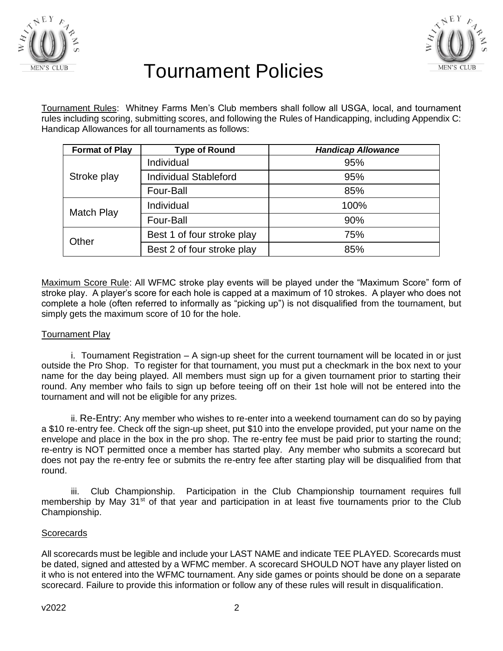



### Tournament Policies

Tournament Rules: Whitney Farms Men's Club members shall follow all USGA, local, and tournament rules including scoring, submitting scores, and following the Rules of Handicapping, including Appendix C: Handicap Allowances for all tournaments as follows:

| <b>Format of Play</b> | <b>Type of Round</b>         | <b>Handicap Allowance</b> |
|-----------------------|------------------------------|---------------------------|
| Stroke play           | Individual                   | 95%                       |
|                       | <b>Individual Stableford</b> | 95%                       |
|                       | Four-Ball                    | 85%                       |
| <b>Match Play</b>     | Individual                   | 100%                      |
|                       | Four-Ball                    | 90%                       |
| Other                 | Best 1 of four stroke play   | 75%                       |
|                       | Best 2 of four stroke play   | 85%                       |

Maximum Score Rule: All WFMC stroke play events will be played under the "Maximum Score" form of stroke play. A player's score for each hole is capped at a maximum of 10 strokes. A player who does not complete a hole (often referred to informally as "picking up") is not disqualified from the tournament, but simply gets the maximum score of 10 for the hole.

#### Tournament Play

i. Tournament Registration – A sign-up sheet for the current tournament will be located in or just outside the Pro Shop. To register for that tournament, you must put a checkmark in the box next to your name for the day being played. All members must sign up for a given tournament prior to starting their round. Any member who fails to sign up before teeing off on their 1st hole will not be entered into the tournament and will not be eligible for any prizes.

ii. Re-Entry: Any member who wishes to re-enter into a weekend tournament can do so by paying a \$10 re-entry fee. Check off the sign-up sheet, put \$10 into the envelope provided, put your name on the envelope and place in the box in the pro shop. The re-entry fee must be paid prior to starting the round; re-entry is NOT permitted once a member has started play. Any member who submits a scorecard but does not pay the re-entry fee or submits the re-entry fee after starting play will be disqualified from that round.

iii. Club Championship. Participation in the Club Championship tournament requires full membership by May 31<sup>st</sup> of that year and participation in at least five tournaments prior to the Club Championship.

#### **Scorecards**

All scorecards must be legible and include your LAST NAME and indicate TEE PLAYED. Scorecards must be dated, signed and attested by a WFMC member. A scorecard SHOULD NOT have any player listed on it who is not entered into the WFMC tournament. Any side games or points should be done on a separate scorecard. Failure to provide this information or follow any of these rules will result in disqualification.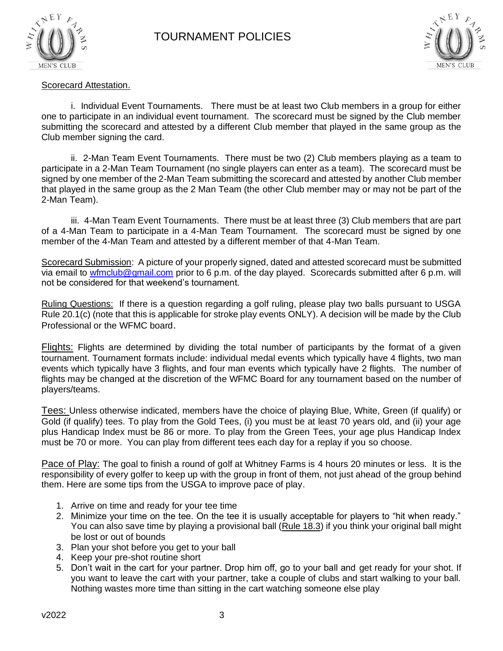



#### Scorecard Attestation.

i. Individual Event Tournaments. There must be at least two Club members in a group for either one to participate in an individual event tournament. The scorecard must be signed by the Club member submitting the scorecard and attested by a different Club member that played in the same group as the Club member signing the card.

ii. 2-Man Team Event Tournaments. There must be two (2) Club members playing as a team to participate in a 2-Man Team Tournament (no single players can enter as a team). The scorecard must be signed by one member of the 2-Man Team submitting the scorecard and attested by another Club member that played in the same group as the 2 Man Team (the other Club member may or may not be part of the 2-Man Team).

iii. 4-Man Team Event Tournaments. There must be at least three (3) Club members that are part of a 4-Man Team to participate in a 4-Man Team Tournament. The scorecard must be signed by one member of the 4-Man Team and attested by a different member of that 4-Man Team.

Scorecard Submission: A picture of your properly signed, dated and attested scorecard must be submitted via email to [wfmclub@gmail.com](mailto:wfmclub@gmail.com) prior to 6 p.m. of the day played. Scorecards submitted after 6 p.m. will not be considered for that weekend's tournament.

Ruling Questions: If there is a question regarding a golf ruling, please play two balls pursuant to USGA Rule 20.1(c) (note that this is applicable for stroke play events ONLY). A decision will be made by the Club Professional or the WFMC board.

Flights: Flights are determined by dividing the total number of participants by the format of a given tournament. Tournament formats include: individual medal events which typically have 4 flights, two man events which typically have 3 flights, and four man events which typically have 2 flights. The number of flights may be changed at the discretion of the WFMC Board for any tournament based on the number of players/teams.

Tees: Unless otherwise indicated, members have the choice of playing Blue, White, Green (if qualify) or Gold (if qualify) tees. To play from the Gold Tees, (i) you must be at least 70 years old, and (ii) your age plus Handicap Index must be 86 or more. To play from the Green Tees, your age plus Handicap Index must be 70 or more. You can play from different tees each day for a replay if you so choose.

Pace of Play: The goal to finish a round of golf at Whitney Farms is 4 hours 20 minutes or less. It is the responsibility of every golfer to keep up with the group in front of them, not just ahead of the group behind them. Here are some tips from the USGA to improve pace of play.

- 1. Arrive on time and ready for your tee time
- 2. Minimize your time on the tee. On the tee it is usually acceptable for players to "hit when ready." You can also save time by playing a provisional ball (Rule 18.3) if you think your original ball might be lost or out of bounds
- 3. Plan your shot before you get to your ball
- 4. Keep your pre-shot routine short
- 5. Don't wait in the cart for your partner. Drop him off, go to your ball and get ready for your shot. If you want to leave the cart with your partner, take a couple of clubs and start walking to your ball. Nothing wastes more time than sitting in the cart watching someone else play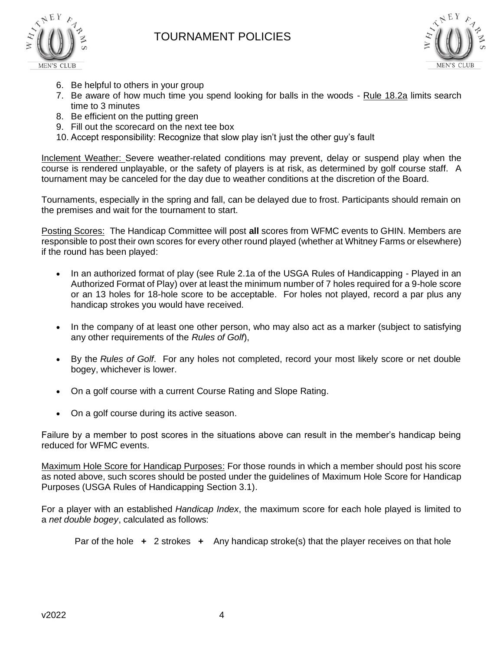



- 6. Be helpful to others in your group
- 7. Be aware of how much time you spend looking for balls in the woods [Rule 18.2a](http://www.usga.org/content/usga/home-page/rules/rules-2019/rules-of-golf/rules-and-interpretations.html#!ruletype=fr§ion=rule&rulenum=18) limits search time to 3 minutes
- 8. Be efficient on the putting green
- 9. Fill out the scorecard on the next tee box
- 10. Accept responsibility: Recognize that slow play isn't just the other guy's fault

Inclement Weather: Severe weather-related conditions may prevent, delay or suspend play when the course is rendered unplayable, or the safety of players is at risk, as determined by golf course staff. A tournament may be canceled for the day due to weather conditions at the discretion of the Board.

Tournaments, especially in the spring and fall, can be delayed due to frost. Participants should remain on the premises and wait for the tournament to start.

Posting Scores: The Handicap Committee will post **all** scores from WFMC events to GHIN. Members are responsible to post their own scores for every other round played (whether at Whitney Farms or elsewhere) if the round has been played:

- In an authorized format of play (see Rule [2.1a of the USGA Rules of Handicapping -](https://www.usga.org/content/usga/home-page/handicapping/roh/Content/rules/2%201%20Acceptability%20of%20Scores.htm#2.1a) Played in an [Authorized Format of Play\)](https://www.usga.org/content/usga/home-page/handicapping/roh/Content/rules/2%201%20Acceptability%20of%20Scores.htm#2.1a) over at least the minimum number of 7 holes required for a 9-hole score or an 13 holes for 18-hole score to be acceptable. For holes not played, record a par plus any handicap strokes you would have received.
- In the company of at least one other person, who may also act as a marker (subject to satisfying any other requirements of the *Rules of Golf*),
- By the *Rules of Golf*. For any holes not completed, record your most likely score or net double bogey, whichever is lower.
- On a golf course with a current Course Rating and Slope Rating.
- On a golf course during its active season.

Failure by a member to post scores in the situations above can result in the member's handicap being reduced for WFMC events.

Maximum Hole Score for Handicap Purposes: For those rounds in which a member should post his score as noted above, such scores should be posted under the guidelines of Maximum Hole Score for Handicap Purposes (USGA Rules of Handicapping Section 3.1).

For a player with an established *Handicap Index*, the maximum score for each hole played is limited to a *net double bogey*, calculated as follows:

Par of the hole **+** 2 strokes **+** Any handicap stroke(s) that the player receives on that hole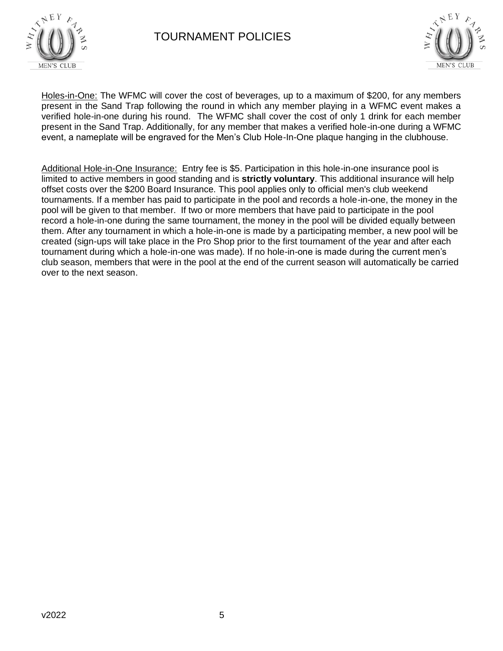

#### TOURNAMENT POLICIES



Holes-in-One: The WFMC will cover the cost of beverages, up to a maximum of \$200, for any members present in the Sand Trap following the round in which any member playing in a WFMC event makes a verified hole-in-one during his round. The WFMC shall cover the cost of only 1 drink for each member present in the Sand Trap. Additionally, for any member that makes a verified hole-in-one during a WFMC event, a nameplate will be engraved for the Men's Club Hole-In-One plaque hanging in the clubhouse.

Additional Hole-in-One Insurance: Entry fee is \$5. Participation in this hole-in-one insurance pool is limited to active members in good standing and is **strictly voluntary**. This additional insurance will help offset costs over the \$200 Board Insurance. This pool applies only to official men's club weekend tournaments. If a member has paid to participate in the pool and records a hole-in-one, the money in the pool will be given to that member. If two or more members that have paid to participate in the pool record a hole-in-one during the same tournament, the money in the pool will be divided equally between them. After any tournament in which a hole-in-one is made by a participating member, a new pool will be created (sign-ups will take place in the Pro Shop prior to the first tournament of the year and after each tournament during which a hole-in-one was made). If no hole-in-one is made during the current men's club season, members that were in the pool at the end of the current season will automatically be carried over to the next season.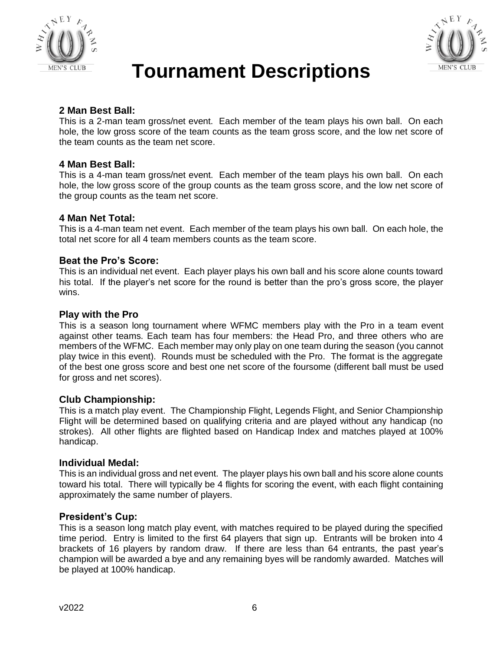



### **Tournament Descriptions**

#### **2 Man Best Ball:**

This is a 2-man team gross/net event. Each member of the team plays his own ball. On each hole, the low gross score of the team counts as the team gross score, and the low net score of the team counts as the team net score.

#### **4 Man Best Ball:**

This is a 4-man team gross/net event. Each member of the team plays his own ball. On each hole, the low gross score of the group counts as the team gross score, and the low net score of the group counts as the team net score.

#### **4 Man Net Total:**

This is a 4-man team net event. Each member of the team plays his own ball. On each hole, the total net score for all 4 team members counts as the team score.

#### **Beat the Pro's Score:**

This is an individual net event. Each player plays his own ball and his score alone counts toward his total. If the player's net score for the round is better than the pro's gross score, the player wins.

#### **Play with the Pro**

This is a season long tournament where WFMC members play with the Pro in a team event against other teams. Each team has four members: the Head Pro, and three others who are members of the WFMC. Each member may only play on one team during the season (you cannot play twice in this event). Rounds must be scheduled with the Pro. The format is the aggregate of the best one gross score and best one net score of the foursome (different ball must be used for gross and net scores).

#### **Club Championship:**

This is a match play event. The Championship Flight, Legends Flight, and Senior Championship Flight will be determined based on qualifying criteria and are played without any handicap (no strokes). All other flights are flighted based on Handicap Index and matches played at 100% handicap.

#### **Individual Medal:**

This is an individual gross and net event. The player plays his own ball and his score alone counts toward his total. There will typically be 4 flights for scoring the event, with each flight containing approximately the same number of players.

#### **President's Cup:**

This is a season long match play event, with matches required to be played during the specified time period. Entry is limited to the first 64 players that sign up. Entrants will be broken into 4 brackets of 16 players by random draw. If there are less than 64 entrants, the past year's champion will be awarded a bye and any remaining byes will be randomly awarded. Matches will be played at 100% handicap.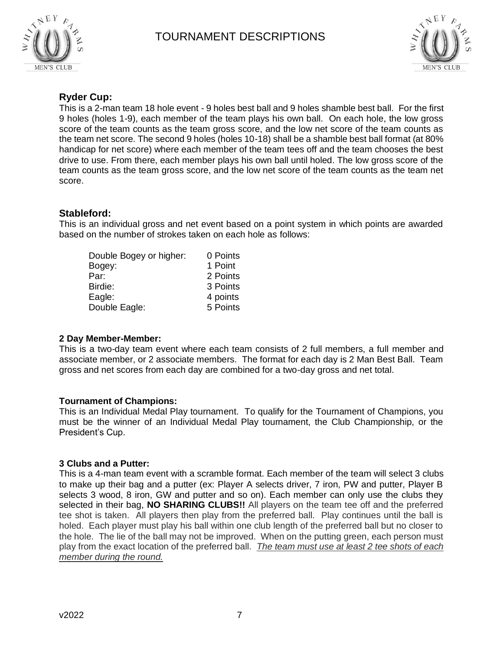



#### **Ryder Cup:**

This is a 2-man team 18 hole event - 9 holes best ball and 9 holes shamble best ball. For the first 9 holes (holes 1-9), each member of the team plays his own ball. On each hole, the low gross score of the team counts as the team gross score, and the low net score of the team counts as the team net score. The second 9 holes (holes 10-18) shall be a shamble best ball format (at 80% handicap for net score) where each member of the team tees off and the team chooses the best drive to use. From there, each member plays his own ball until holed. The low gross score of the team counts as the team gross score, and the low net score of the team counts as the team net score.

#### **Stableford:**

This is an individual gross and net event based on a point system in which points are awarded based on the number of strokes taken on each hole as follows:

| Double Bogey or higher: | 0 Points |
|-------------------------|----------|
| Bogey:                  | 1 Point  |
| Par:                    | 2 Points |
| Birdie:                 | 3 Points |
| Eagle:                  | 4 points |
| Double Eagle:           | 5 Points |

#### **2 Day Member-Member:**

This is a two-day team event where each team consists of 2 full members, a full member and associate member, or 2 associate members. The format for each day is 2 Man Best Ball. Team gross and net scores from each day are combined for a two-day gross and net total.

#### **Tournament of Champions:**

This is an Individual Medal Play tournament. To qualify for the Tournament of Champions, you must be the winner of an Individual Medal Play tournament, the Club Championship, or the President's Cup.

#### **3 Clubs and a Putter:**

This is a 4-man team event with a scramble format. Each member of the team will select 3 clubs to make up their bag and a putter (ex: Player A selects driver, 7 iron, PW and putter, Player B selects 3 wood, 8 iron, GW and putter and so on). Each member can only use the clubs they selected in their bag, **NO SHARING CLUBS!!** All players on the team tee off and the preferred tee shot is taken. All players then play from the preferred ball. Play continues until the ball is holed. Each player must play his ball within one club length of the preferred ball but no closer to the hole. The lie of the ball may not be improved. When on the putting green, each person must play from the exact location of the preferred ball. *The team must use at least 2 tee shots of each member during the round.*